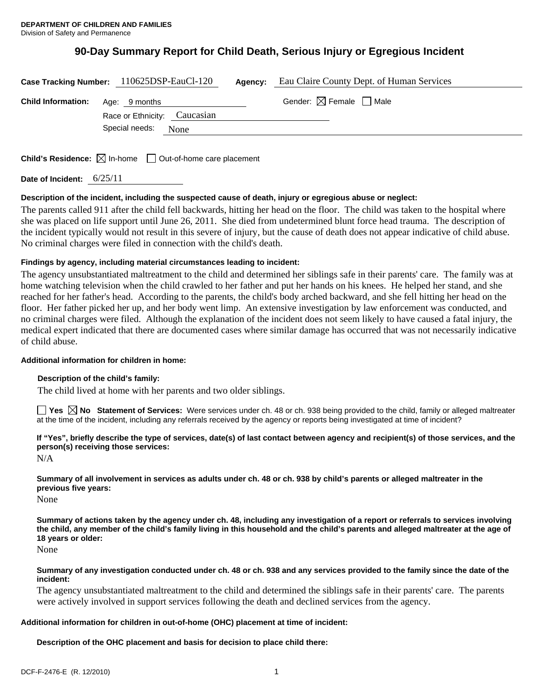# **90-Day Summary Report for Child Death, Serious Injury or Egregious Incident**

|                           | Case Tracking Number: 110625DSP-EauCl-120     | Agency: | Eau Claire County Dept. of Human Services |  |
|---------------------------|-----------------------------------------------|---------|-------------------------------------------|--|
| <b>Child Information:</b> | Age: 9 months<br>Race or Ethnicity: Caucasian |         | Gender: $\boxtimes$ Female $\Box$ Male    |  |
|                           | Special needs:<br>None                        |         |                                           |  |

**Child's Residence:**  $\boxtimes$  In-home  $\Box$  Out-of-home care placement

**Date of Incident:** 6/25/11

### **Description of the incident, including the suspected cause of death, injury or egregious abuse or neglect:**

The parents called 911 after the child fell backwards, hitting her head on the floor. The child was taken to the hospital where she was placed on life support until June 26, 2011. She died from undetermined blunt force head trauma. The description of the incident typically would not result in this severe of injury, but the cause of death does not appear indicative of child abuse. No criminal charges were filed in connection with the child's death.

### **Findings by agency, including material circumstances leading to incident:**

The agency unsubstantiated maltreatment to the child and determined her siblings safe in their parents' care. The family was at home watching television when the child crawled to her father and put her hands on his knees. He helped her stand, and she reached for her father's head. According to the parents, the child's body arched backward, and she fell hitting her head on the floor. Her father picked her up, and her body went limp. An extensive investigation by law enforcement was conducted, and no criminal charges were filed. Although the explanation of the incident does not seem likely to have caused a fatal injury, the medical expert indicated that there are documented cases where similar damage has occurred that was not necessarily indicative of child abuse.

### **Additional information for children in home:**

### **Description of the child's family:**

The child lived at home with her parents and two older siblings.

**Yes**  $\boxtimes$  **No** Statement of Services: Were services under ch. 48 or ch. 938 being provided to the child, family or alleged maltreater at the time of the incident, including any referrals received by the agency or reports being investigated at time of incident?

**If "Yes", briefly describe the type of services, date(s) of last contact between agency and recipient(s) of those services, and the person(s) receiving those services:** 

N/A

**Summary of all involvement in services as adults under ch. 48 or ch. 938 by child's parents or alleged maltreater in the previous five years:** 

None

**Summary of actions taken by the agency under ch. 48, including any investigation of a report or referrals to services involving the child, any member of the child's family living in this household and the child's parents and alleged maltreater at the age of 18 years or older:** 

None

### **Summary of any investigation conducted under ch. 48 or ch. 938 and any services provided to the family since the date of the incident:**

The agency unsubstantiated maltreatment to the child and determined the siblings safe in their parents' care. The parents were actively involved in support services following the death and declined services from the agency.

# **Additional information for children in out-of-home (OHC) placement at time of incident:**

**Description of the OHC placement and basis for decision to place child there:**